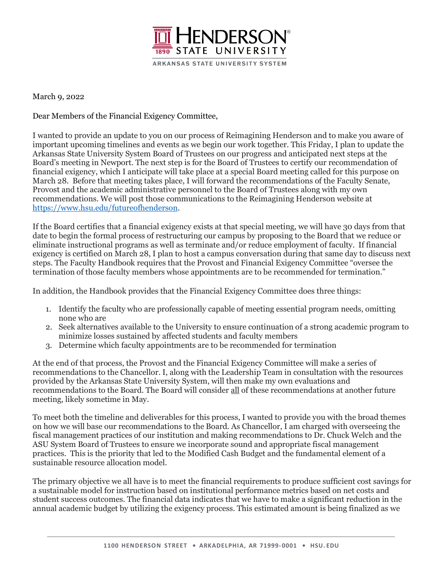

March 9, 2022

Dear Members of the Financial Exigency Committee,

I wanted to provide an update to you on our process of Reimagining Henderson and to make you aware of important upcoming timelines and events as we begin our work together. This Friday, I plan to update the Arkansas State University System Board of Trustees on our progress and anticipated next steps at the Board's meeting in Newport. The next step is for the Board of Trustees to certify our recommendation of financial exigency, which I anticipate will take place at a special Board meeting called for this purpose on March 28. Before that meeting takes place, I will forward the recommendations of the Faculty Senate, Provost and the academic administrative personnel to the Board of Trustees along with my own recommendations. We will post those communications to the Reimagining Henderson website at https://www.hsu.edu/futureofhenderson.

If the Board certifies that a financial exigency exists at that special meeting, we will have 30 days from that date to begin the formal process of restructuring our campus by proposing to the Board that we reduce or eliminate instructional programs as well as terminate and/or reduce employment of faculty. If financial exigency is certified on March 28, I plan to host a campus conversation during that same day to discuss next steps. The Faculty Handbook requires that the Provost and Financial Exigency Committee "oversee the termination of those faculty members whose appointments are to be recommended for termination."

In addition, the Handbook provides that the Financial Exigency Committee does three things:

- 1. Identify the faculty who are professionally capable of meeting essential program needs, omitting none who are
- 2. Seek alternatives available to the University to ensure continuation of a strong academic program to minimize losses sustained by affected students and faculty members
- 3. Determine which faculty appointments are to be recommended for termination

At the end of that process, the Provost and the Financial Exigency Committee will make a series of recommendations to the Chancellor. I, along with the Leadership Team in consultation with the resources provided by the Arkansas State University System, will then make my own evaluations and recommendations to the Board. The Board will consider all of these recommendations at another future meeting, likely sometime in May.

To meet both the timeline and deliverables for this process, I wanted to provide you with the broad themes on how we will base our recommendations to the Board. As Chancellor, I am charged with overseeing the fiscal management practices of our institution and making recommendations to Dr. Chuck Welch and the ASU System Board of Trustees to ensure we incorporate sound and appropriate fiscal management practices. This is the priority that led to the Modified Cash Budget and the fundamental element of a sustainable resource allocation model.

The primary objective we all have is to meet the financial requirements to produce sufficient cost savings for a sustainable model for instruction based on institutional performance metrics based on net costs and student success outcomes. The financial data indicates that we have to make a significant reduction in the annual academic budget by utilizing the exigency process. This estimated amount is being finalized as we